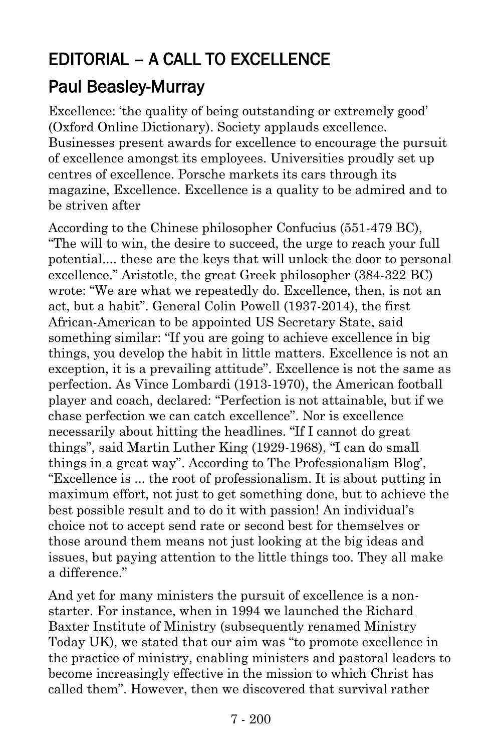## EDITORIAL – A CALL TO EXCELLENCE

## [Paul Beasley-Murray](https://www.ministrytoday.org.uk/magazine/authors/423/)

Excellence: 'the quality of being outstanding or extremely good' (Oxford Online Dictionary). Society applauds excellence. Businesses present awards for excellence to encourage the pursuit of excellence amongst its employees. Universities proudly set up centres of excellence. Porsche markets its cars through its magazine, Excellence. Excellence is a quality to be admired and to be striven after

According to the Chinese philosopher Confucius (551-479 BC), "The will to win, the desire to succeed, the urge to reach your full potential.... these are the keys that will unlock the door to personal excellence." Aristotle, the great Greek philosopher (384-322 BC) wrote: "We are what we repeatedly do. Excellence, then, is not an act, but a habit". General Colin Powell (1937-2014), the first African-American to be appointed US Secretary State, said something similar: "If you are going to achieve excellence in big things, you develop the habit in little matters. Excellence is not an exception, it is a prevailing attitude". Excellence is not the same as perfection. As Vince Lombardi (1913-1970), the American football player and coach, declared: "Perfection is not attainable, but if we chase perfection we can catch excellence". Nor is excellence necessarily about hitting the headlines. "If I cannot do great things", said Martin Luther King (1929-1968), "I can do small things in a great way". According to The Professionalism Blog', "Excellence is ... the root of professionalism. It is about putting in maximum effort, not just to get something done, but to achieve the best possible result and to do it with passion! An individual's choice not to accept send rate or second best for themselves or those around them means not just looking at the big ideas and issues, but paying attention to the little things too. They all make a difference."

And yet for many ministers the pursuit of excellence is a nonstarter. For instance, when in 1994 we launched the Richard Baxter Institute of Ministry (subsequently renamed Ministry Today UK), we stated that our aim was "to promote excellence in the practice of ministry, enabling ministers and pastoral leaders to become increasingly effective in the mission to which Christ has called them". However, then we discovered that survival rather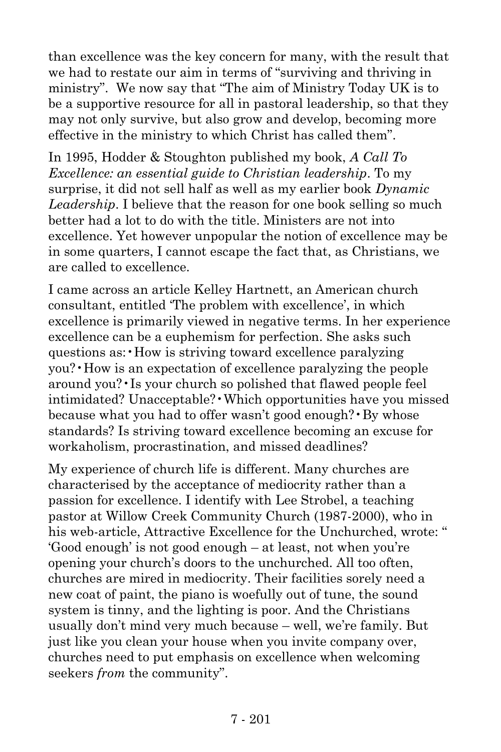than excellence was the key concern for many, with the result that we had to restate our aim in terms of "surviving and thriving in ministry". We now say that "The aim of Ministry Today UK is to be a supportive resource for all in pastoral leadership, so that they may not only survive, but also grow and develop, becoming more effective in the ministry to which Christ has called them".

In 1995, Hodder & Stoughton published my book, *A Call To Excellence: an essential guide to Christian leadership*. To my surprise, it did not sell half as well as my earlier book *Dynamic Leadership*. I believe that the reason for one book selling so much better had a lot to do with the title. Ministers are not into excellence. Yet however unpopular the notion of excellence may be in some quarters, I cannot escape the fact that, as Christians, we are called to excellence.

I came across an article Kelley Hartnett, an American church consultant, entitled 'The problem with excellence', in which excellence is primarily viewed in negative terms. In her experience excellence can be a euphemism for perfection. She asks such questions as:•How is striving toward excellence paralyzing you?•How is an expectation of excellence paralyzing the people around you?•Is your church so polished that flawed people feel intimidated? Unacceptable?•Which opportunities have you missed because what you had to offer wasn't good enough? • By whose standards? Is striving toward excellence becoming an excuse for workaholism, procrastination, and missed deadlines?

My experience of church life is different. Many churches are characterised by the acceptance of mediocrity rather than a passion for excellence. I identify with Lee Strobel, a teaching pastor at Willow Creek Community Church (1987-2000), who in his web-article, Attractive Excellence for the Unchurched, wrote: " 'Good enough' is not good enough – at least, not when you're opening your church's doors to the unchurched. All too often, churches are mired in mediocrity. Their facilities sorely need a new coat of paint, the piano is woefully out of tune, the sound system is tinny, and the lighting is poor. And the Christians usually don't mind very much because – well, we're family. But just like you clean your house when you invite company over, churches need to put emphasis on excellence when welcoming seekers *from* the community".